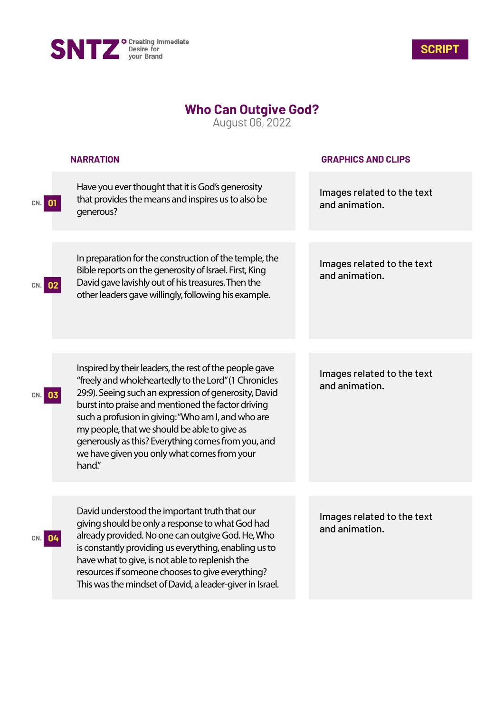



## **Who Can Outgive God?**

August 06, 2022

|            | <b>NARRATION</b>                                                                                                                                                                                                                                                                                                                                                                                                                                    | <b>GRAPHICS AND CLIPS</b>                    |
|------------|-----------------------------------------------------------------------------------------------------------------------------------------------------------------------------------------------------------------------------------------------------------------------------------------------------------------------------------------------------------------------------------------------------------------------------------------------------|----------------------------------------------|
| 01<br>CN.  | Have you ever thought that it is God's generosity<br>that provides the means and inspires us to also be<br>generous?                                                                                                                                                                                                                                                                                                                                | Images related to the text<br>and animation. |
| 02<br>CN.I | In preparation for the construction of the temple, the<br>Bible reports on the generosity of Israel. First, King<br>David gave lavishly out of his treasures. Then the<br>other leaders gave willingly, following his example.                                                                                                                                                                                                                      | Images related to the text<br>and animation. |
|            |                                                                                                                                                                                                                                                                                                                                                                                                                                                     |                                              |
| 03         | Inspired by their leaders, the rest of the people gave<br>"freely and wholeheartedly to the Lord" (1 Chronicles<br>29:9). Seeing such an expression of generosity, David<br>burst into praise and mentioned the factor driving<br>such a profusion in giving: "Who am I, and who are<br>my people, that we should be able to give as<br>generously as this? Everything comes from you, and<br>we have given you only what comes from your<br>hand." | Images related to the text<br>and animation. |
|            |                                                                                                                                                                                                                                                                                                                                                                                                                                                     |                                              |
| 04<br>CN.  | David understood the important truth that our<br>giving should be only a response to what God had<br>already provided. No one can outgive God. He, Who<br>is constantly providing us everything, enabling us to<br>have what to give, is not able to replenish the<br>resources if someone chooses to give everything?<br>This was the mindset of David, a leader-giver in Israel.                                                                  | Images related to the text<br>and animation. |
|            |                                                                                                                                                                                                                                                                                                                                                                                                                                                     |                                              |